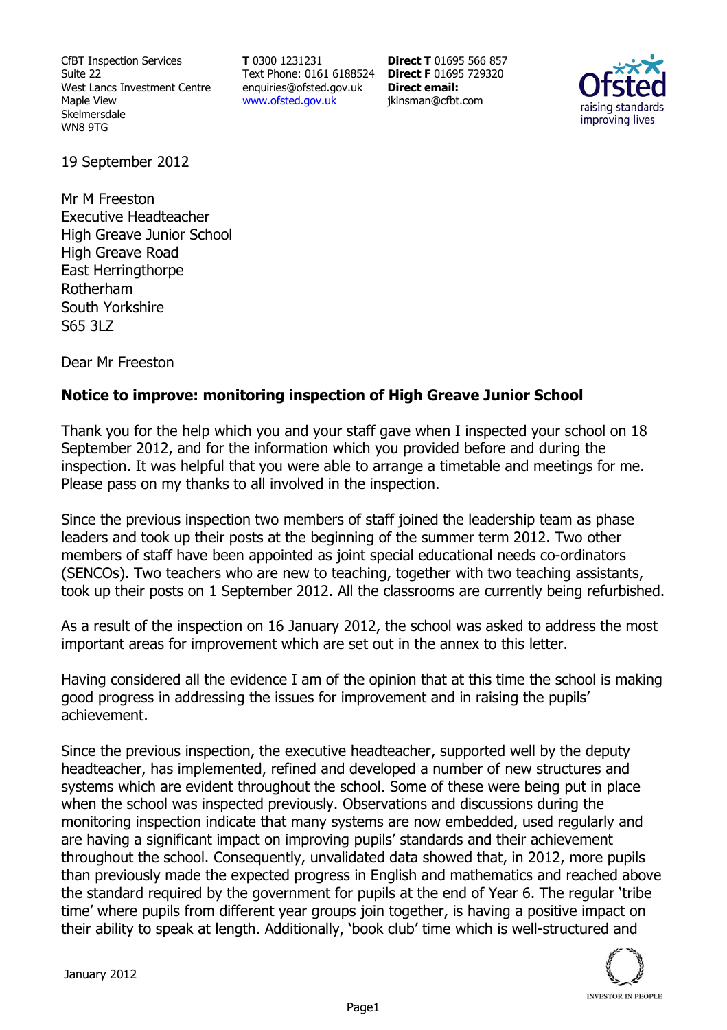CfBT Inspection Services Suite 22 West Lancs Investment Centre Maple View Skelmersdale WN8 9TG

**T** 0300 1231231 Text Phone: 0161 6188524 **Direct F** 01695 729320 enquiries@ofsted.gov.uk www.ofsted.gov.uk

**Direct T** 01695 566 857 **Direct email:**  jkinsman@cfbt.com



19 September 2012

Mr M Freeston Executive Headteacher High Greave Junior School High Greave Road East Herringthorpe Rotherham South Yorkshire S65 3LZ

Dear Mr Freeston

## **Notice to improve: monitoring inspection of High Greave Junior School**

Thank you for the help which you and your staff gave when I inspected your school on 18 September 2012, and for the information which you provided before and during the inspection. It was helpful that you were able to arrange a timetable and meetings for me. Please pass on my thanks to all involved in the inspection.

Since the previous inspection two members of staff joined the leadership team as phase leaders and took up their posts at the beginning of the summer term 2012. Two other members of staff have been appointed as joint special educational needs co-ordinators (SENCOs). Two teachers who are new to teaching, together with two teaching assistants, took up their posts on 1 September 2012. All the classrooms are currently being refurbished.

As a result of the inspection on 16 January 2012, the school was asked to address the most important areas for improvement which are set out in the annex to this letter.

Having considered all the evidence I am of the opinion that at this time the school is making good progress in addressing the issues for improvement and in raising the pupils' achievement.

Since the previous inspection, the executive headteacher, supported well by the deputy headteacher, has implemented, refined and developed a number of new structures and systems which are evident throughout the school. Some of these were being put in place when the school was inspected previously. Observations and discussions during the monitoring inspection indicate that many systems are now embedded, used regularly and are having a significant impact on improving pupils' standards and their achievement throughout the school. Consequently, unvalidated data showed that, in 2012, more pupils than previously made the expected progress in English and mathematics and reached above the standard required by the government for pupils at the end of Year 6. The regular 'tribe time' where pupils from different year groups join together, is having a positive impact on their ability to speak at length. Additionally, 'book club' time which is well-structured and

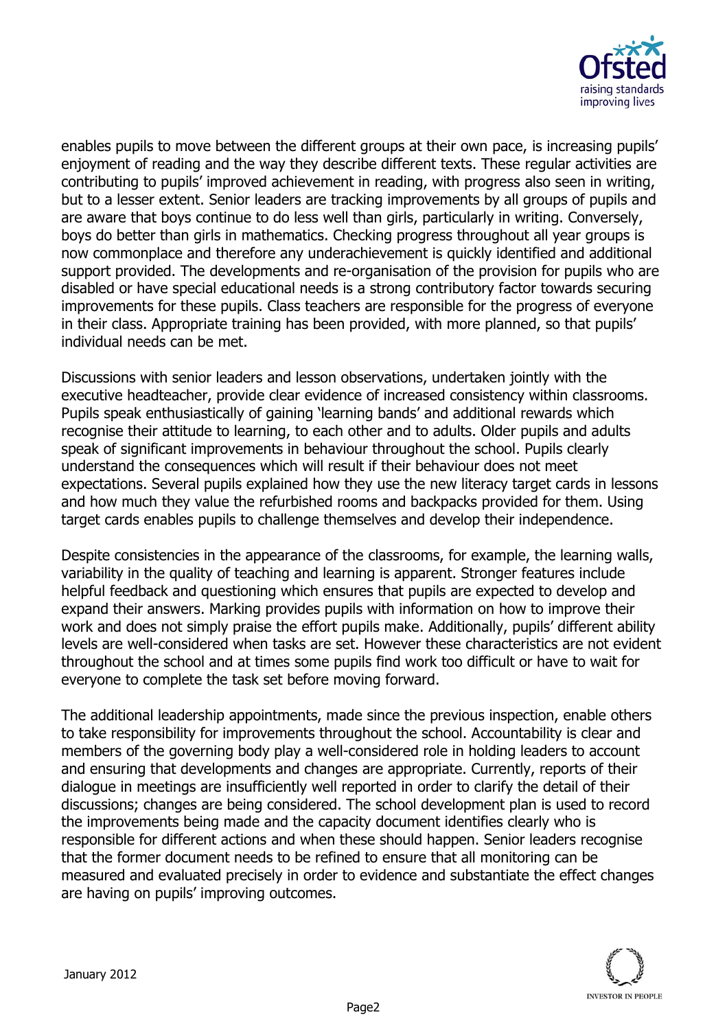

enables pupils to move between the different groups at their own pace, is increasing pupils' enjoyment of reading and the way they describe different texts. These regular activities are contributing to pupils' improved achievement in reading, with progress also seen in writing, but to a lesser extent. Senior leaders are tracking improvements by all groups of pupils and are aware that boys continue to do less well than girls, particularly in writing. Conversely, boys do better than girls in mathematics. Checking progress throughout all year groups is now commonplace and therefore any underachievement is quickly identified and additional support provided. The developments and re-organisation of the provision for pupils who are disabled or have special educational needs is a strong contributory factor towards securing improvements for these pupils. Class teachers are responsible for the progress of everyone in their class. Appropriate training has been provided, with more planned, so that pupils' individual needs can be met.

Discussions with senior leaders and lesson observations, undertaken jointly with the executive headteacher, provide clear evidence of increased consistency within classrooms. Pupils speak enthusiastically of gaining 'learning bands' and additional rewards which recognise their attitude to learning, to each other and to adults. Older pupils and adults speak of significant improvements in behaviour throughout the school. Pupils clearly understand the consequences which will result if their behaviour does not meet expectations. Several pupils explained how they use the new literacy target cards in lessons and how much they value the refurbished rooms and backpacks provided for them. Using target cards enables pupils to challenge themselves and develop their independence.

Despite consistencies in the appearance of the classrooms, for example, the learning walls, variability in the quality of teaching and learning is apparent. Stronger features include helpful feedback and questioning which ensures that pupils are expected to develop and expand their answers. Marking provides pupils with information on how to improve their work and does not simply praise the effort pupils make. Additionally, pupils' different ability levels are well-considered when tasks are set. However these characteristics are not evident throughout the school and at times some pupils find work too difficult or have to wait for everyone to complete the task set before moving forward.

The additional leadership appointments, made since the previous inspection, enable others to take responsibility for improvements throughout the school. Accountability is clear and members of the governing body play a well-considered role in holding leaders to account and ensuring that developments and changes are appropriate. Currently, reports of their dialogue in meetings are insufficiently well reported in order to clarify the detail of their discussions; changes are being considered. The school development plan is used to record the improvements being made and the capacity document identifies clearly who is responsible for different actions and when these should happen. Senior leaders recognise that the former document needs to be refined to ensure that all monitoring can be measured and evaluated precisely in order to evidence and substantiate the effect changes are having on pupils' improving outcomes.

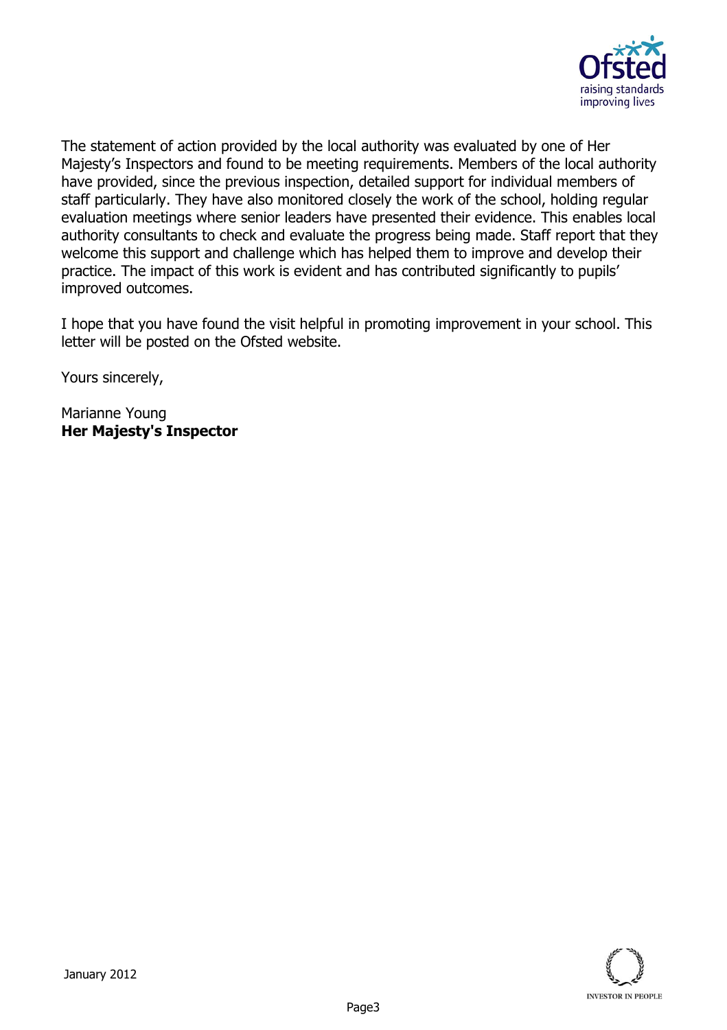

The statement of action provided by the local authority was evaluated by one of Her Majesty's Inspectors and found to be meeting requirements. Members of the local authority have provided, since the previous inspection, detailed support for individual members of staff particularly. They have also monitored closely the work of the school, holding regular evaluation meetings where senior leaders have presented their evidence. This enables local authority consultants to check and evaluate the progress being made. Staff report that they welcome this support and challenge which has helped them to improve and develop their practice. The impact of this work is evident and has contributed significantly to pupils' improved outcomes.

I hope that you have found the visit helpful in promoting improvement in your school. This letter will be posted on the Ofsted website.

Yours sincerely,

Marianne Young **Her Majesty's Inspector**